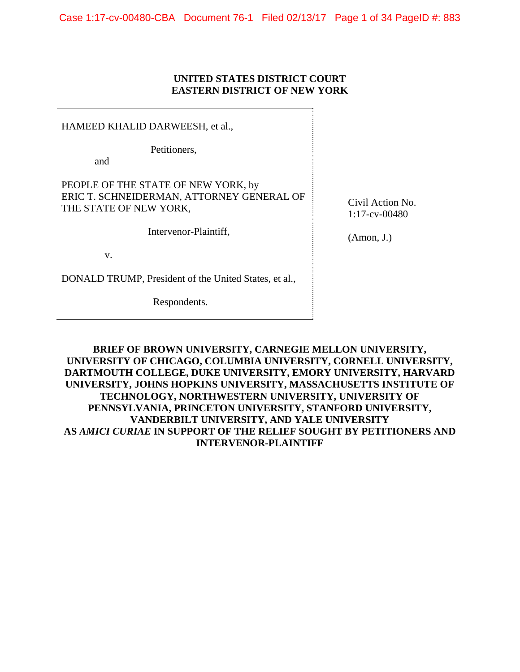### **UNITED STATES DISTRICT COURT EASTERN DISTRICT OF NEW YORK**

HAMEED KHALID DARWEESH, et al.,

Petitioners,

and

PEOPLE OF THE STATE OF NEW YORK, by ERIC T. SCHNEIDERMAN, ATTORNEY GENERAL OF THE STATE OF NEW YORK,

Intervenor-Plaintiff,

v.

DONALD TRUMP, President of the United States, et al.,

Respondents.

Civil Action No. 1:17-cv-00480

(Amon, J.)

**BRIEF OF BROWN UNIVERSITY, CARNEGIE MELLON UNIVERSITY, UNIVERSITY OF CHICAGO, COLUMBIA UNIVERSITY, CORNELL UNIVERSITY, DARTMOUTH COLLEGE, DUKE UNIVERSITY, EMORY UNIVERSITY, HARVARD UNIVERSITY, JOHNS HOPKINS UNIVERSITY, MASSACHUSETTS INSTITUTE OF TECHNOLOGY, NORTHWESTERN UNIVERSITY, UNIVERSITY OF PENNSYLVANIA, PRINCETON UNIVERSITY, STANFORD UNIVERSITY, VANDERBILT UNIVERSITY, AND YALE UNIVERSITY AS** *AMICI CURIAE* **IN SUPPORT OF THE RELIEF SOUGHT BY PETITIONERS AND INTERVENOR-PLAINTIFF**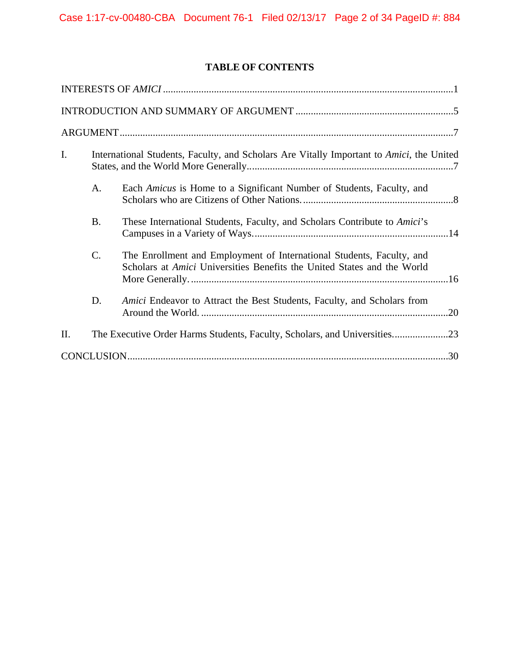# **TABLE OF CONTENTS**

| I.  | International Students, Faculty, and Scholars Are Vitally Important to Amici, the United |                                                                                                                                                         |  |
|-----|------------------------------------------------------------------------------------------|---------------------------------------------------------------------------------------------------------------------------------------------------------|--|
|     | A.                                                                                       | Each Amicus is Home to a Significant Number of Students, Faculty, and                                                                                   |  |
|     | <b>B.</b>                                                                                | These International Students, Faculty, and Scholars Contribute to Amici's                                                                               |  |
|     | C.                                                                                       | The Enrollment and Employment of International Students, Faculty, and<br>Scholars at <i>Amici</i> Universities Benefits the United States and the World |  |
|     | D.                                                                                       | Amici Endeavor to Attract the Best Students, Faculty, and Scholars from                                                                                 |  |
| II. |                                                                                          | The Executive Order Harms Students, Faculty, Scholars, and Universities23                                                                               |  |
|     |                                                                                          |                                                                                                                                                         |  |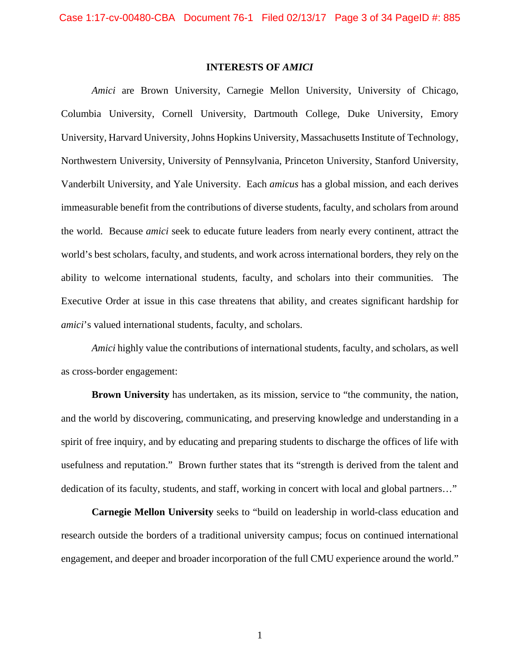### **INTERESTS OF** *AMICI*

*Amici* are Brown University, Carnegie Mellon University, University of Chicago, Columbia University, Cornell University, Dartmouth College, Duke University, Emory University, Harvard University, Johns Hopkins University, Massachusetts Institute of Technology, Northwestern University, University of Pennsylvania, Princeton University, Stanford University, Vanderbilt University, and Yale University. Each *amicus* has a global mission, and each derives immeasurable benefit from the contributions of diverse students, faculty, and scholars from around the world. Because *amici* seek to educate future leaders from nearly every continent, attract the world's best scholars, faculty, and students, and work across international borders, they rely on the ability to welcome international students, faculty, and scholars into their communities. The Executive Order at issue in this case threatens that ability, and creates significant hardship for *amici*'s valued international students, faculty, and scholars.

*Amici* highly value the contributions of international students, faculty, and scholars, as well as cross-border engagement:

**Brown University** has undertaken, as its mission, service to "the community, the nation, and the world by discovering, communicating, and preserving knowledge and understanding in a spirit of free inquiry, and by educating and preparing students to discharge the offices of life with usefulness and reputation." Brown further states that its "strength is derived from the talent and dedication of its faculty, students, and staff, working in concert with local and global partners…"

**Carnegie Mellon University** seeks to "build on leadership in world-class education and research outside the borders of a traditional university campus; focus on continued international engagement, and deeper and broader incorporation of the full CMU experience around the world."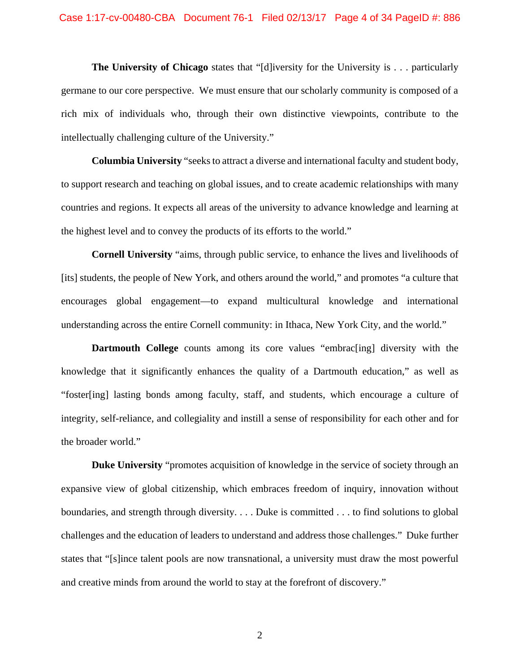#### Case 1:17-cv-00480-CBA Document 76-1 Filed 02/13/17 Page 4 of 34 PageID #: 886

**The University of Chicago** states that "[d]iversity for the University is . . . particularly germane to our core perspective. We must ensure that our scholarly community is composed of a rich mix of individuals who, through their own distinctive viewpoints, contribute to the intellectually challenging culture of the University."

**Columbia University** "seeks to attract a diverse and international faculty and student body, to support research and teaching on global issues, and to create academic relationships with many countries and regions. It expects all areas of the university to advance knowledge and learning at the highest level and to convey the products of its efforts to the world."

**Cornell University** "aims, through public service, to enhance the lives and livelihoods of [its] students, the people of New York, and others around the world," and promotes "a culture that encourages global engagement—to expand multicultural knowledge and international understanding across the entire Cornell community: in Ithaca, New York City, and the world."

**Dartmouth College** counts among its core values "embrac<sup>[ing]</sup> diversity with the knowledge that it significantly enhances the quality of a Dartmouth education," as well as "foster[ing] lasting bonds among faculty, staff, and students, which encourage a culture of integrity, self-reliance, and collegiality and instill a sense of responsibility for each other and for the broader world."

**Duke University** "promotes acquisition of knowledge in the service of society through an expansive view of global citizenship, which embraces freedom of inquiry, innovation without boundaries, and strength through diversity. . . . Duke is committed . . . to find solutions to global challenges and the education of leaders to understand and address those challenges." Duke further states that "[s]ince talent pools are now transnational, a university must draw the most powerful and creative minds from around the world to stay at the forefront of discovery."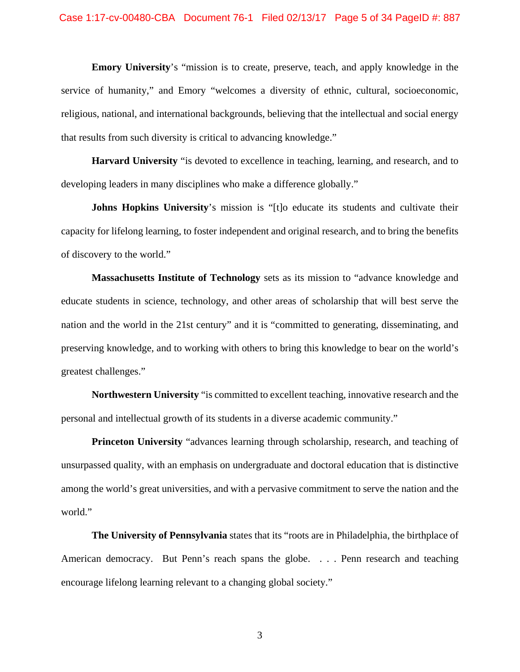**Emory University**'s "mission is to create, preserve, teach, and apply knowledge in the service of humanity," and Emory "welcomes a diversity of ethnic, cultural, socioeconomic, religious, national, and international backgrounds, believing that the intellectual and social energy that results from such diversity is critical to advancing knowledge."

**Harvard University** "is devoted to excellence in teaching, learning, and research, and to developing leaders in many disciplines who make a difference globally."

**Johns Hopkins University's mission is "[t]o educate its students and cultivate their** capacity for lifelong learning, to foster independent and original research, and to bring the benefits of discovery to the world."

**Massachusetts Institute of Technology** sets as its mission to "advance knowledge and educate students in science, technology, and other areas of scholarship that will best serve the nation and the world in the 21st century" and it is "committed to generating, disseminating, and preserving knowledge, and to working with others to bring this knowledge to bear on the world's greatest challenges."

**Northwestern University** "is committed to excellent teaching, innovative research and the personal and intellectual growth of its students in a diverse academic community."

**Princeton University** "advances learning through scholarship, research, and teaching of unsurpassed quality, with an emphasis on undergraduate and doctoral education that is distinctive among the world's great universities, and with a pervasive commitment to serve the nation and the world."

**The University of Pennsylvania** states that its "roots are in Philadelphia, the birthplace of American democracy. But Penn's reach spans the globe. . . . Penn research and teaching encourage lifelong learning relevant to a changing global society."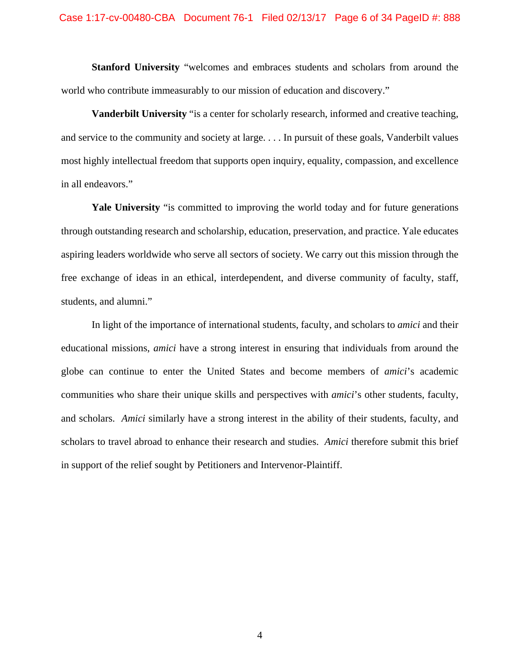**Stanford University** "welcomes and embraces students and scholars from around the world who contribute immeasurably to our mission of education and discovery."

**Vanderbilt University** "is a center for scholarly research, informed and creative teaching, and service to the community and society at large. . . . In pursuit of these goals, Vanderbilt values most highly intellectual freedom that supports open inquiry, equality, compassion, and excellence in all endeavors."

**Yale University** "is committed to improving the world today and for future generations through outstanding research and scholarship, education, preservation, and practice. Yale educates aspiring leaders worldwide who serve all sectors of society. We carry out this mission through the free exchange of ideas in an ethical, interdependent, and diverse community of faculty, staff, students, and alumni."

In light of the importance of international students, faculty, and scholars to *amici* and their educational missions, *amici* have a strong interest in ensuring that individuals from around the globe can continue to enter the United States and become members of *amici*'s academic communities who share their unique skills and perspectives with *amici*'s other students, faculty, and scholars. *Amici* similarly have a strong interest in the ability of their students, faculty, and scholars to travel abroad to enhance their research and studies.*Amici* therefore submit this brief in support of the relief sought by Petitioners and Intervenor-Plaintiff.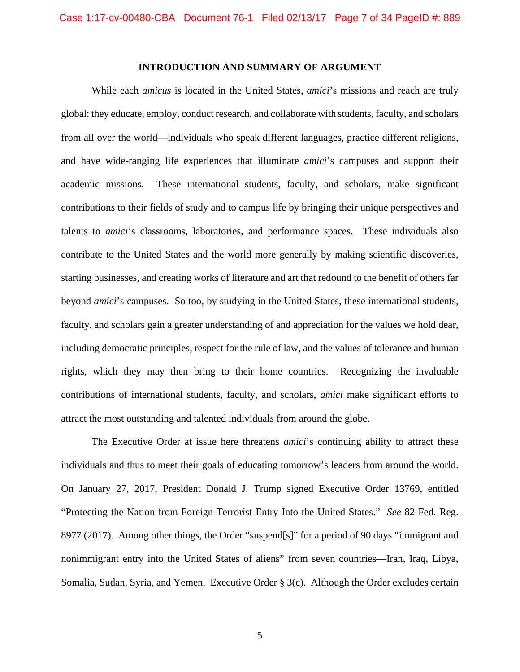### **INTRODUCTION AND SUMMARY OF ARGUMENT**

While each *amicus* is located in the United States, *amici*'s missions and reach are truly global: they educate, employ, conduct research, and collaborate with students, faculty, and scholars from all over the world—individuals who speak different languages, practice different religions, and have wide-ranging life experiences that illuminate *amici*'s campuses and support their academic missions. These international students, faculty, and scholars, make significant contributions to their fields of study and to campus life by bringing their unique perspectives and talents to *amici*'s classrooms, laboratories, and performance spaces. These individuals also contribute to the United States and the world more generally by making scientific discoveries, starting businesses, and creating works of literature and art that redound to the benefit of others far beyond *amici*'s campuses. So too, by studying in the United States, these international students, faculty, and scholars gain a greater understanding of and appreciation for the values we hold dear, including democratic principles, respect for the rule of law, and the values of tolerance and human rights, which they may then bring to their home countries. Recognizing the invaluable contributions of international students, faculty, and scholars, *amici* make significant efforts to attract the most outstanding and talented individuals from around the globe.

The Executive Order at issue here threatens *amici*'s continuing ability to attract these individuals and thus to meet their goals of educating tomorrow's leaders from around the world. On January 27, 2017, President Donald J. Trump signed Executive Order 13769, entitled "Protecting the Nation from Foreign Terrorist Entry Into the United States." *See* 82 Fed. Reg. 8977 (2017). Among other things, the Order "suspend[s]" for a period of 90 days "immigrant and nonimmigrant entry into the United States of aliens" from seven countries—Iran, Iraq, Libya, Somalia, Sudan, Syria, and Yemen. Executive Order § 3(c). Although the Order excludes certain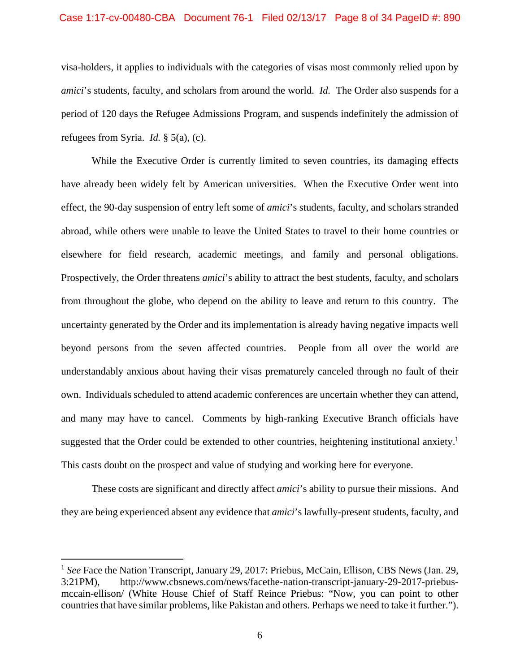### Case 1:17-cv-00480-CBA Document 76-1 Filed 02/13/17 Page 8 of 34 PageID #: 890

visa-holders, it applies to individuals with the categories of visas most commonly relied upon by *amici*'s students, faculty, and scholars from around the world. *Id.* The Order also suspends for a period of 120 days the Refugee Admissions Program, and suspends indefinitely the admission of refugees from Syria. *Id.* § 5(a), (c).

While the Executive Order is currently limited to seven countries, its damaging effects have already been widely felt by American universities. When the Executive Order went into effect, the 90-day suspension of entry left some of *amici*'s students, faculty, and scholars stranded abroad, while others were unable to leave the United States to travel to their home countries or elsewhere for field research, academic meetings, and family and personal obligations. Prospectively, the Order threatens *amici*'s ability to attract the best students, faculty, and scholars from throughout the globe, who depend on the ability to leave and return to this country. The uncertainty generated by the Order and its implementation is already having negative impacts well beyond persons from the seven affected countries. People from all over the world are understandably anxious about having their visas prematurely canceled through no fault of their own. Individuals scheduled to attend academic conferences are uncertain whether they can attend, and many may have to cancel. Comments by high-ranking Executive Branch officials have suggested that the Order could be extended to other countries, heightening institutional anxiety.<sup>1</sup> This casts doubt on the prospect and value of studying and working here for everyone.

These costs are significant and directly affect *amici*'s ability to pursue their missions. And they are being experienced absent any evidence that *amici*'s lawfully-present students, faculty, and

<sup>&</sup>lt;sup>1</sup> See Face the Nation Transcript, January 29, 2017: Priebus, McCain, Ellison, CBS News (Jan. 29, 3:21PM), http://www.cbsnews.com/news/facethe-nation-transcript-january-29-2017-priebusmccain-ellison/ (White House Chief of Staff Reince Priebus: "Now, you can point to other countries that have similar problems, like Pakistan and others. Perhaps we need to take it further.").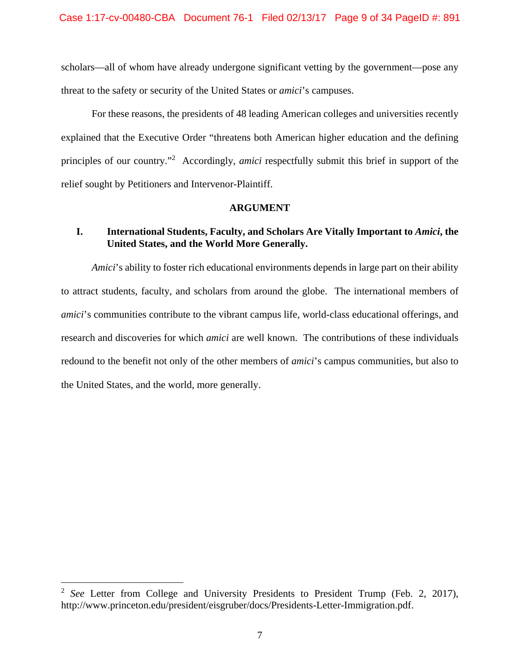scholars—all of whom have already undergone significant vetting by the government—pose any threat to the safety or security of the United States or *amici*'s campuses.

For these reasons, the presidents of 48 leading American colleges and universities recently explained that the Executive Order "threatens both American higher education and the defining principles of our country."<sup>2</sup> Accordingly, *amici* respectfully submit this brief in support of the relief sought by Petitioners and Intervenor-Plaintiff.

### **ARGUMENT**

# **I. International Students, Faculty, and Scholars Are Vitally Important to** *Amici***, the United States, and the World More Generally.**

*Amici*'s ability to foster rich educational environments depends in large part on their ability to attract students, faculty, and scholars from around the globe. The international members of *amici*'s communities contribute to the vibrant campus life, world-class educational offerings, and research and discoveries for which *amici* are well known. The contributions of these individuals redound to the benefit not only of the other members of *amici*'s campus communities, but also to the United States, and the world, more generally.

<sup>2</sup> *See* Letter from College and University Presidents to President Trump (Feb. 2, 2017), http://www.princeton.edu/president/eisgruber/docs/Presidents-Letter-Immigration.pdf.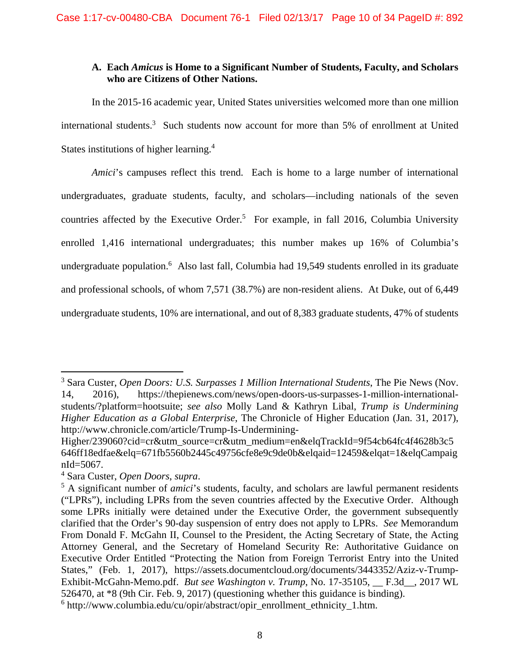# **A. Each** *Amicus* **is Home to a Significant Number of Students, Faculty, and Scholars who are Citizens of Other Nations.**

In the 2015-16 academic year, United States universities welcomed more than one million international students.<sup>3</sup> Such students now account for more than 5% of enrollment at United States institutions of higher learning.<sup>4</sup>

*Amici*'s campuses reflect this trend. Each is home to a large number of international undergraduates, graduate students, faculty, and scholars—including nationals of the seven countries affected by the Executive Order.<sup>5</sup> For example, in fall 2016, Columbia University enrolled 1,416 international undergraduates; this number makes up 16% of Columbia's undergraduate population.<sup>6</sup> Also last fall, Columbia had 19,549 students enrolled in its graduate and professional schools, of whom 7,571 (38.7%) are non-resident aliens. At Duke, out of 6,449 undergraduate students, 10% are international, and out of 8,383 graduate students, 47% of students

<sup>3</sup> Sara Custer, *Open Doors: U.S. Surpasses 1 Million International Students*, The Pie News (Nov. 14, 2016), https://thepienews.com/news/open-doors-us-surpasses-1-million-internationalstudents/?platform=hootsuite; *see also* Molly Land & Kathryn Libal, *Trump is Undermining Higher Education as a Global Enterprise*, The Chronicle of Higher Education (Jan. 31, 2017), http://www.chronicle.com/article/Trump-Is-Undermining-

Higher/239060?cid=cr&utm\_source=cr&utm\_medium=en&elqTrackId=9f54cb64fc4f4628b3c5 646ff18edfae&elq=671fb5560b2445c49756cfe8e9c9de0b&elqaid=12459&elqat=1&elqCampaig nId=5067.

<sup>4</sup> Sara Custer, *Open Doors*, *supra*.

<sup>&</sup>lt;sup>5</sup> A significant number of *amici*'s students, faculty, and scholars are lawful permanent residents ("LPRs"), including LPRs from the seven countries affected by the Executive Order. Although some LPRs initially were detained under the Executive Order, the government subsequently clarified that the Order's 90-day suspension of entry does not apply to LPRs. *See* Memorandum From Donald F. McGahn II, Counsel to the President, the Acting Secretary of State, the Acting Attorney General, and the Secretary of Homeland Security Re: Authoritative Guidance on Executive Order Entitled "Protecting the Nation from Foreign Terrorist Entry into the United States," (Feb. 1, 2017), https://assets.documentcloud.org/documents/3443352/Aziz-v-Trump-Exhibit-McGahn-Memo.pdf. *But see Washington v. Trump*, No. 17-35105, \_\_ F.3d\_\_, 2017 WL 526470, at \*8 (9th Cir. Feb. 9, 2017) (questioning whether this guidance is binding). 6 http://www.columbia.edu/cu/opir/abstract/opir\_enrollment\_ethnicity\_1.htm.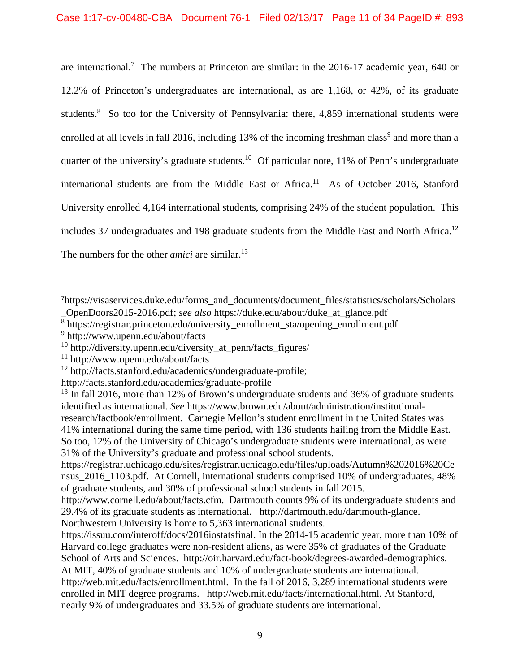are international.<sup>7</sup> The numbers at Princeton are similar: in the 2016-17 academic year, 640 or 12.2% of Princeton's undergraduates are international, as are 1,168, or 42%, of its graduate students.<sup>8</sup> So too for the University of Pennsylvania: there, 4,859 international students were enrolled at all levels in fall 2016, including 13% of the incoming freshman class<sup>9</sup> and more than a quarter of the university's graduate students.<sup>10</sup> Of particular note, 11% of Penn's undergraduate international students are from the Middle East or Africa.<sup>11</sup> As of October 2016, Stanford University enrolled 4,164 international students, comprising 24% of the student population. This includes 37 undergraduates and 198 graduate students from the Middle East and North Africa.<sup>12</sup> The numbers for the other *amici* are similar.<sup>13</sup>

8 https://registrar.princeton.edu/university\_enrollment\_sta/opening\_enrollment.pdf

http://facts.stanford.edu/academics/graduate-profile

<sup>7</sup>https://visaservices.duke.edu/forms\_and\_documents/document\_files/statistics/scholars/Scholars \_OpenDoors2015-2016.pdf; *see also* https://duke.edu/about/duke\_at\_glance.pdf

<sup>9</sup> http://www.upenn.edu/about/facts

 $10$  http://diversity.upenn.edu/diversity\_at\_penn/facts\_figures/

<sup>11</sup> http://www.upenn.edu/about/facts

<sup>12</sup> http://facts.stanford.edu/academics/undergraduate-profile;

 $13$  In fall 2016, more than 12% of Brown's undergraduate students and 36% of graduate students identified as international. *See* https://www.brown.edu/about/administration/institutionalresearch/factbook/enrollment. Carnegie Mellon's student enrollment in the United States was 41% international during the same time period, with 136 students hailing from the Middle East. So too, 12% of the University of Chicago's undergraduate students were international, as were 31% of the University's graduate and professional school students.

https://registrar.uchicago.edu/sites/registrar.uchicago.edu/files/uploads/Autumn%202016%20Ce nsus 2016 1103.pdf. At Cornell, international students comprised 10% of undergraduates, 48% of graduate students, and 30% of professional school students in fall 2015.

http://www.cornell.edu/about/facts.cfm. Dartmouth counts 9% of its undergraduate students and 29.4% of its graduate students as international. http://dartmouth.edu/dartmouth-glance. Northwestern University is home to 5,363 international students.

https://issuu.com/interoff/docs/2016iostatsfinal. In the 2014-15 academic year, more than 10% of Harvard college graduates were non-resident aliens, as were 35% of graduates of the Graduate School of Arts and Sciences. http://oir.harvard.edu/fact-book/degrees-awarded-demographics. At MIT, 40% of graduate students and 10% of undergraduate students are international. http://web.mit.edu/facts/enrollment.html. In the fall of 2016, 3,289 international students were enrolled in MIT degree programs. http://web.mit.edu/facts/international.html. At Stanford, nearly 9% of undergraduates and 33.5% of graduate students are international.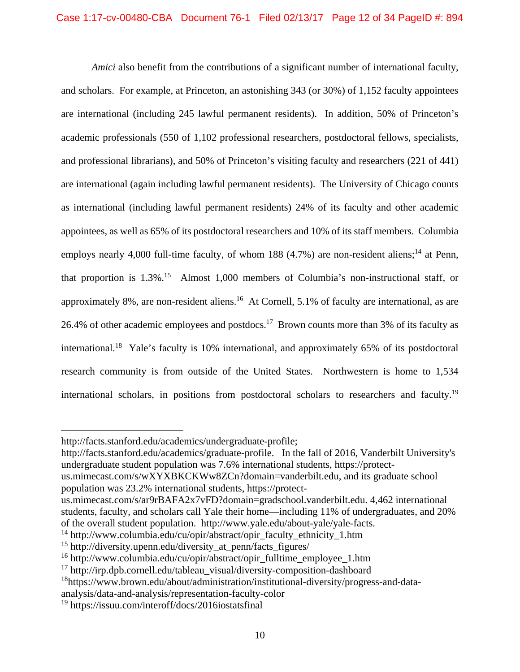*Amici* also benefit from the contributions of a significant number of international faculty, and scholars. For example, at Princeton, an astonishing 343 (or 30%) of 1,152 faculty appointees are international (including 245 lawful permanent residents). In addition, 50% of Princeton's academic professionals (550 of 1,102 professional researchers, postdoctoral fellows, specialists, and professional librarians), and 50% of Princeton's visiting faculty and researchers (221 of 441) are international (again including lawful permanent residents). The University of Chicago counts as international (including lawful permanent residents) 24% of its faculty and other academic appointees, as well as 65% of its postdoctoral researchers and 10% of its staff members. Columbia employs nearly 4,000 full-time faculty, of whom 188  $(4.7%)$  are non-resident aliens;<sup>14</sup> at Penn, that proportion is  $1.3\%$ .<sup>15</sup> Almost 1,000 members of Columbia's non-instructional staff, or approximately 8%, are non-resident aliens.<sup>16</sup> At Cornell, 5.1% of faculty are international, as are 26.4% of other academic employees and postdocs.<sup>17</sup> Brown counts more than 3% of its faculty as international.18 Yale's faculty is 10% international, and approximately 65% of its postdoctoral research community is from outside of the United States. Northwestern is home to 1,534 international scholars, in positions from postdoctoral scholars to researchers and faculty.<sup>19</sup>

http://facts.stanford.edu/academics/graduate-profile. In the fall of 2016, Vanderbilt University's undergraduate student population was 7.6% international students, https://protect-

- us.mimecast.com/s/wXYXBKCKWw8ZCn?domain=vanderbilt.edu, and its graduate school population was 23.2% international students, https://protect-
- us.mimecast.com/s/ar9rBAFA2x7vFD?domain=gradschool.vanderbilt.edu. 4,462 international students, faculty, and scholars call Yale their home—including 11% of undergraduates, and 20% of the overall student population. http://www.yale.edu/about-yale/yale-facts.

<sup>14</sup> http://www.columbia.edu/cu/opir/abstract/opir\_faculty\_ethnicity\_1.htm

analysis/data-and-analysis/representation-faculty-color

http://facts.stanford.edu/academics/undergraduate-profile;

<sup>&</sup>lt;sup>15</sup> http://diversity.upenn.edu/diversity at penn/facts figures/

<sup>&</sup>lt;sup>16</sup> http://www.columbia.edu/cu/opir/abstract/opir\_fulltime\_employee\_1.htm

 $17$  http://irp.dpb.cornell.edu/tableau\_visual/diversity-composition-dashboard

<sup>&</sup>lt;sup>18</sup>https://www.brown.edu/about/administration/institutional-diversity/progress-and-data-

<sup>19</sup> https://issuu.com/interoff/docs/2016iostatsfinal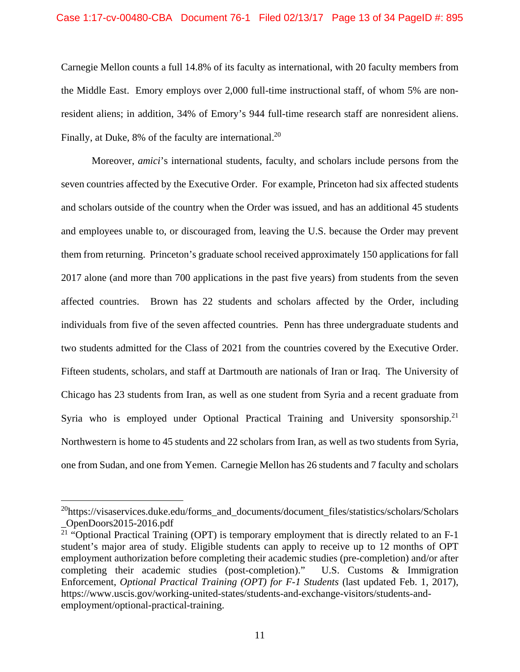#### Case 1:17-cv-00480-CBA Document 76-1 Filed 02/13/17 Page 13 of 34 PageID #: 895

Carnegie Mellon counts a full 14.8% of its faculty as international, with 20 faculty members from the Middle East. Emory employs over 2,000 full-time instructional staff, of whom 5% are nonresident aliens; in addition, 34% of Emory's 944 full-time research staff are nonresident aliens. Finally, at Duke, 8% of the faculty are international.<sup>20</sup>

Moreover, *amici*'s international students, faculty, and scholars include persons from the seven countries affected by the Executive Order. For example, Princeton had six affected students and scholars outside of the country when the Order was issued, and has an additional 45 students and employees unable to, or discouraged from, leaving the U.S. because the Order may prevent them from returning. Princeton's graduate school received approximately 150 applications for fall 2017 alone (and more than 700 applications in the past five years) from students from the seven affected countries. Brown has 22 students and scholars affected by the Order, including individuals from five of the seven affected countries. Penn has three undergraduate students and two students admitted for the Class of 2021 from the countries covered by the Executive Order. Fifteen students, scholars, and staff at Dartmouth are nationals of Iran or Iraq. The University of Chicago has 23 students from Iran, as well as one student from Syria and a recent graduate from Syria who is employed under Optional Practical Training and University sponsorship.<sup>21</sup> Northwestern is home to 45 students and 22 scholars from Iran, as well as two students from Syria, one from Sudan, and one from Yemen. Carnegie Mellon has 26 students and 7 faculty and scholars

 $^{20}$ https://visaservices.duke.edu/forms\_and\_documents/document\_files/statistics/scholars/Scholars \_OpenDoors2015-2016.pdf

<sup>&</sup>lt;sup>21</sup> "Optional Practical Training (OPT) is temporary employment that is directly related to an  $F-1$ student's major area of study. Eligible students can apply to receive up to 12 months of OPT employment authorization before completing their academic studies (pre-completion) and/or after completing their academic studies (post-completion)." U.S. Customs & Immigration Enforcement, *Optional Practical Training (OPT) for F-1 Students* (last updated Feb. 1, 2017), https://www.uscis.gov/working-united-states/students-and-exchange-visitors/students-andemployment/optional-practical-training.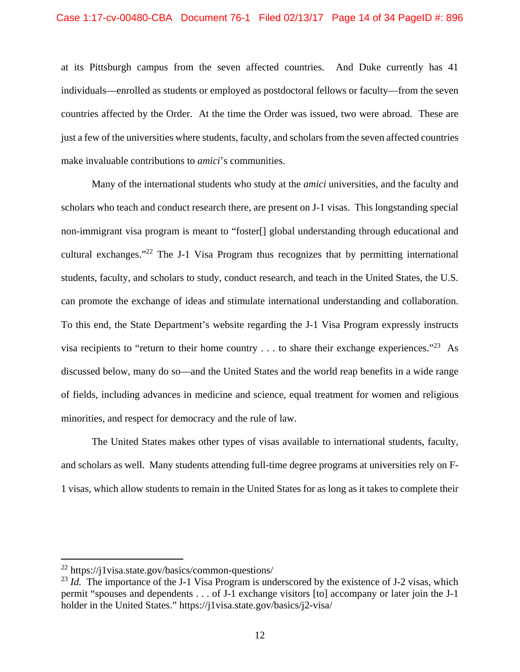at its Pittsburgh campus from the seven affected countries. And Duke currently has 41 individuals—enrolled as students or employed as postdoctoral fellows or faculty—from the seven countries affected by the Order. At the time the Order was issued, two were abroad. These are just a few of the universities where students, faculty, and scholars from the seven affected countries make invaluable contributions to *amici*'s communities.

Many of the international students who study at the *amici* universities, and the faculty and scholars who teach and conduct research there, are present on J-1 visas. This longstanding special non-immigrant visa program is meant to "foster[] global understanding through educational and cultural exchanges."22 The J-1 Visa Program thus recognizes that by permitting international students, faculty, and scholars to study, conduct research, and teach in the United States, the U.S. can promote the exchange of ideas and stimulate international understanding and collaboration. To this end, the State Department's website regarding the J-1 Visa Program expressly instructs visa recipients to "return to their home country  $\dots$  to share their exchange experiences."<sup>23</sup> As discussed below, many do so—and the United States and the world reap benefits in a wide range of fields, including advances in medicine and science, equal treatment for women and religious minorities, and respect for democracy and the rule of law.

The United States makes other types of visas available to international students, faculty, and scholars as well. Many students attending full-time degree programs at universities rely on F-1 visas, which allow students to remain in the United States for as long as it takes to complete their

<sup>22</sup> https://j1visa.state.gov/basics/common-questions/

<sup>&</sup>lt;sup>23</sup> *Id.* The importance of the J-1 Visa Program is underscored by the existence of J-2 visas, which permit "spouses and dependents . . . of J-1 exchange visitors [to] accompany or later join the J-1 holder in the United States." https://j1visa.state.gov/basics/j2-visa/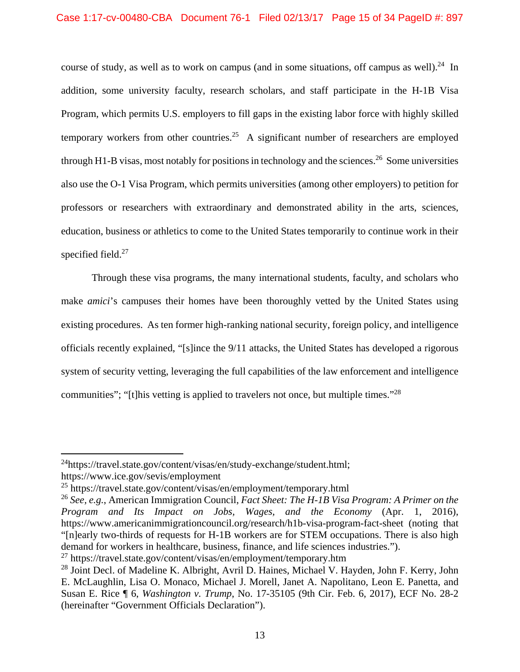course of study, as well as to work on campus (and in some situations, off campus as well).<sup>24</sup> In addition, some university faculty, research scholars, and staff participate in the H-1B Visa Program, which permits U.S. employers to fill gaps in the existing labor force with highly skilled temporary workers from other countries.<sup>25</sup> A significant number of researchers are employed through H1-B visas, most notably for positions in technology and the sciences.<sup>26</sup> Some universities also use the O-1 Visa Program, which permits universities (among other employers) to petition for professors or researchers with extraordinary and demonstrated ability in the arts, sciences, education, business or athletics to come to the United States temporarily to continue work in their specified field.<sup>27</sup>

Through these visa programs, the many international students, faculty, and scholars who make *amici*'s campuses their homes have been thoroughly vetted by the United States using existing procedures. As ten former high-ranking national security, foreign policy, and intelligence officials recently explained, "[s]ince the 9/11 attacks, the United States has developed a rigorous system of security vetting, leveraging the full capabilities of the law enforcement and intelligence communities"; "[t]his vetting is applied to travelers not once, but multiple times."28

<sup>&</sup>lt;sup>24</sup>https://travel.state.gov/content/visas/en/study-exchange/student.html; https://www.ice.gov/sevis/employment

<sup>25</sup> https://travel.state.gov/content/visas/en/employment/temporary.html

<sup>26</sup> *See, e.g.*, American Immigration Council, *Fact Sheet: The H-1B Visa Program: A Primer on the Program and Its Impact on Jobs, Wages, and the Economy* (Apr. 1, 2016), https://www.americanimmigrationcouncil.org/research/h1b-visa-program-fact-sheet (noting that "[n]early two-thirds of requests for H-1B workers are for STEM occupations. There is also high demand for workers in healthcare, business, finance, and life sciences industries.").

 $^{27}$  https://travel.state.gov/content/visas/en/employment/temporary.htm

<sup>&</sup>lt;sup>28</sup> Joint Decl. of Madeline K. Albright, Avril D. Haines, Michael V. Hayden, John F. Kerry, John E. McLaughlin, Lisa O. Monaco, Michael J. Morell, Janet A. Napolitano, Leon E. Panetta, and Susan E. Rice ¶ 6, *Washington v. Trump*, No. 17-35105 (9th Cir. Feb. 6, 2017), ECF No. 28-2 (hereinafter "Government Officials Declaration").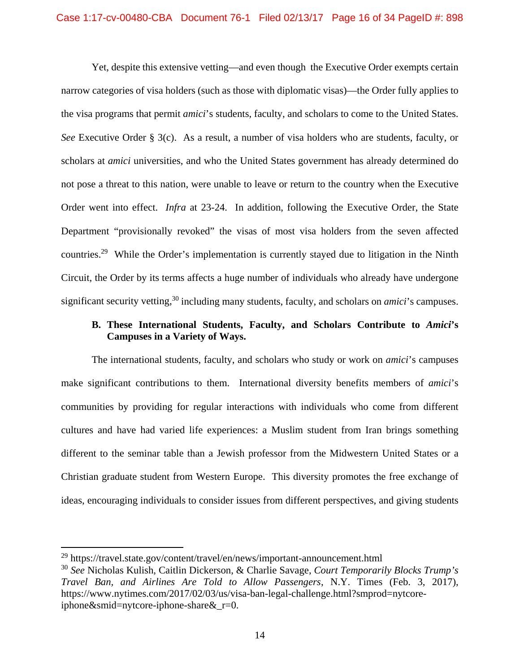Yet, despite this extensive vetting—and even though the Executive Order exempts certain narrow categories of visa holders (such as those with diplomatic visas)—the Order fully applies to the visa programs that permit *amici*'s students, faculty, and scholars to come to the United States. *See* Executive Order § 3(c). As a result, a number of visa holders who are students, faculty, or scholars at *amici* universities, and who the United States government has already determined do not pose a threat to this nation, were unable to leave or return to the country when the Executive Order went into effect. *Infra* at 23-24. In addition, following the Executive Order, the State Department "provisionally revoked" the visas of most visa holders from the seven affected countries.29 While the Order's implementation is currently stayed due to litigation in the Ninth Circuit, the Order by its terms affects a huge number of individuals who already have undergone significant security vetting,<sup>30</sup> including many students, faculty, and scholars on *amici*'s campuses.

### **B. These International Students, Faculty, and Scholars Contribute to** *Amici***'s Campuses in a Variety of Ways.**

The international students, faculty, and scholars who study or work on *amici*'s campuses make significant contributions to them. International diversity benefits members of *amici*'s communities by providing for regular interactions with individuals who come from different cultures and have had varied life experiences: a Muslim student from Iran brings something different to the seminar table than a Jewish professor from the Midwestern United States or a Christian graduate student from Western Europe. This diversity promotes the free exchange of ideas, encouraging individuals to consider issues from different perspectives, and giving students

<sup>29</sup> https://travel.state.gov/content/travel/en/news/important-announcement.html

<sup>30</sup> *See* Nicholas Kulish, Caitlin Dickerson, & Charlie Savage, *Court Temporarily Blocks Trump's Travel Ban, and Airlines Are Told to Allow Passengers*, N.Y. Times (Feb. 3, 2017), https://www.nytimes.com/2017/02/03/us/visa-ban-legal-challenge.html?smprod=nytcoreiphone&smid=nytcore-iphone-share&\_r=0.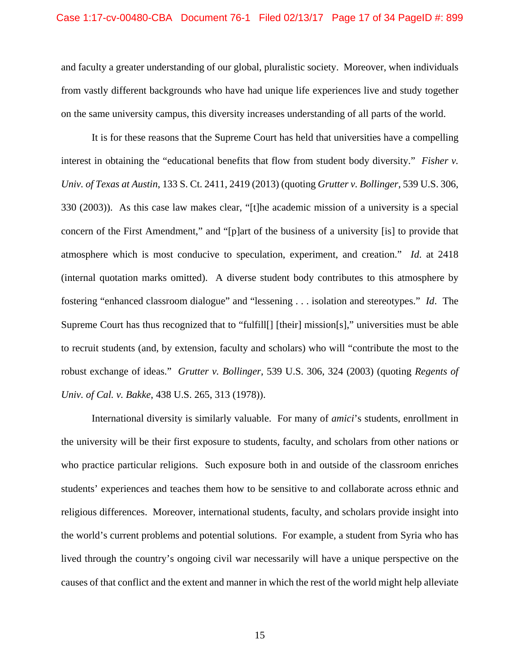and faculty a greater understanding of our global, pluralistic society. Moreover, when individuals from vastly different backgrounds who have had unique life experiences live and study together on the same university campus, this diversity increases understanding of all parts of the world.

It is for these reasons that the Supreme Court has held that universities have a compelling interest in obtaining the "educational benefits that flow from student body diversity." *Fisher v. Univ. of Texas at Austin*, 133 S. Ct. 2411, 2419 (2013) (quoting *Grutter v. Bollinger*, 539 U.S. 306, 330 (2003)). As this case law makes clear, "[t]he academic mission of a university is a special concern of the First Amendment," and "[p]art of the business of a university [is] to provide that atmosphere which is most conducive to speculation, experiment, and creation." *Id*. at 2418 (internal quotation marks omitted). A diverse student body contributes to this atmosphere by fostering "enhanced classroom dialogue" and "lessening . . . isolation and stereotypes." *Id*. The Supreme Court has thus recognized that to "fulfill[] [their] mission[s]," universities must be able to recruit students (and, by extension, faculty and scholars) who will "contribute the most to the robust exchange of ideas." *Grutter v. Bollinger*, 539 U.S. 306, 324 (2003) (quoting *Regents of Univ. of Cal. v. Bakke*, 438 U.S. 265, 313 (1978)).

International diversity is similarly valuable. For many of *amici*'s students, enrollment in the university will be their first exposure to students, faculty, and scholars from other nations or who practice particular religions. Such exposure both in and outside of the classroom enriches students' experiences and teaches them how to be sensitive to and collaborate across ethnic and religious differences. Moreover, international students, faculty, and scholars provide insight into the world's current problems and potential solutions. For example, a student from Syria who has lived through the country's ongoing civil war necessarily will have a unique perspective on the causes of that conflict and the extent and manner in which the rest of the world might help alleviate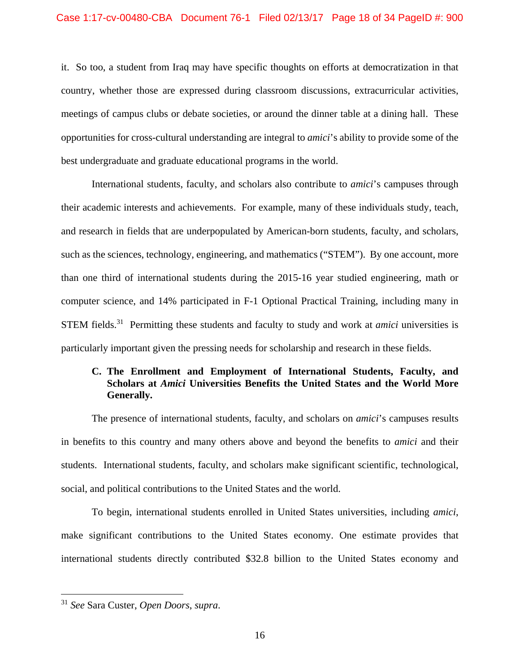it. So too, a student from Iraq may have specific thoughts on efforts at democratization in that country, whether those are expressed during classroom discussions, extracurricular activities, meetings of campus clubs or debate societies, or around the dinner table at a dining hall. These opportunities for cross-cultural understanding are integral to *amici*'s ability to provide some of the best undergraduate and graduate educational programs in the world.

International students, faculty, and scholars also contribute to *amici*'s campuses through their academic interests and achievements. For example, many of these individuals study, teach, and research in fields that are underpopulated by American-born students, faculty, and scholars, such as the sciences, technology, engineering, and mathematics ("STEM"). By one account, more than one third of international students during the 2015-16 year studied engineering, math or computer science, and 14% participated in F-1 Optional Practical Training, including many in STEM fields.31 Permitting these students and faculty to study and work at *amici* universities is particularly important given the pressing needs for scholarship and research in these fields.

# **C. The Enrollment and Employment of International Students, Faculty, and Scholars at** *Amici* **Universities Benefits the United States and the World More Generally.**

The presence of international students, faculty, and scholars on *amici*'s campuses results in benefits to this country and many others above and beyond the benefits to *amici* and their students. International students, faculty, and scholars make significant scientific, technological, social, and political contributions to the United States and the world.

To begin, international students enrolled in United States universities, including *amici*, make significant contributions to the United States economy. One estimate provides that international students directly contributed \$32.8 billion to the United States economy and

<sup>31</sup> *See* Sara Custer, *Open Doors*, *supra*.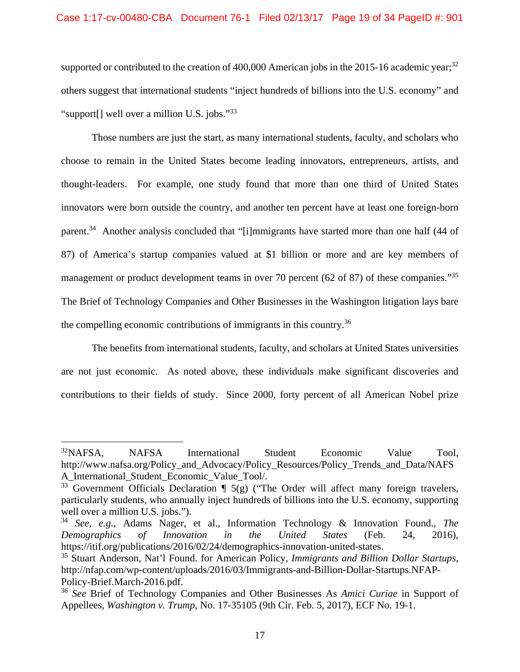### Case 1:17-cv-00480-CBA Document 76-1 Filed 02/13/17 Page 19 of 34 PageID #: 901

supported or contributed to the creation of 400,000 American jobs in the 2015-16 academic year;<sup>32</sup> others suggest that international students "inject hundreds of billions into the U.S. economy" and "support[] well over a million U.S. jobs."33

Those numbers are just the start, as many international students, faculty, and scholars who choose to remain in the United States become leading innovators, entrepreneurs, artists, and thought-leaders. For example, one study found that more than one third of United States innovators were born outside the country, and another ten percent have at least one foreign-born parent.<sup>34</sup> Another analysis concluded that "[i]mmigrants have started more than one half (44 of 87) of America's startup companies valued at \$1 billion or more and are key members of management or product development teams in over 70 percent (62 of 87) of these companies."<sup>35</sup> The Brief of Technology Companies and Other Businesses in the Washington litigation lays bare the compelling economic contributions of immigrants in this country.<sup>36</sup>

The benefits from international students, faculty, and scholars at United States universities are not just economic. As noted above, these individuals make significant discoveries and contributions to their fields of study. Since 2000, forty percent of all American Nobel prize

<sup>32</sup>NAFSA, NAFSA International Student Economic Value Tool, http://www.nafsa.org/Policy\_and\_Advocacy/Policy\_Resources/Policy\_Trends\_and\_Data/NAFS A\_International\_Student\_Economic\_Value\_Tool/.

 $33$  Government Officials Declaration  $\P$  5(g) ("The Order will affect many foreign travelers, particularly students, who annually inject hundreds of billions into the U.S. economy, supporting well over a million U.S. jobs.").

<sup>34</sup> *See, e.g.*, Adams Nager, et al., Information Technology & Innovation Found., *The Demographics of Innovation in the United States* (Feb. 24, 2016), https://itif.org/publications/2016/02/24/demographics-innovation-united-states.

<sup>35</sup> Stuart Anderson, Nat'l Found. for American Policy, *Immigrants and Billion Dollar Startups*, http://nfap.com/wp-content/uploads/2016/03/Immigrants-and-Billion-Dollar-Startups.NFAP-Policy-Brief.March-2016.pdf.

<sup>36</sup> *See* Brief of Technology Companies and Other Businesses As *Amici Curiae* in Support of Appellees, *Washington v. Trump*, No. 17-35105 (9th Cir. Feb. 5, 2017), ECF No. 19-1.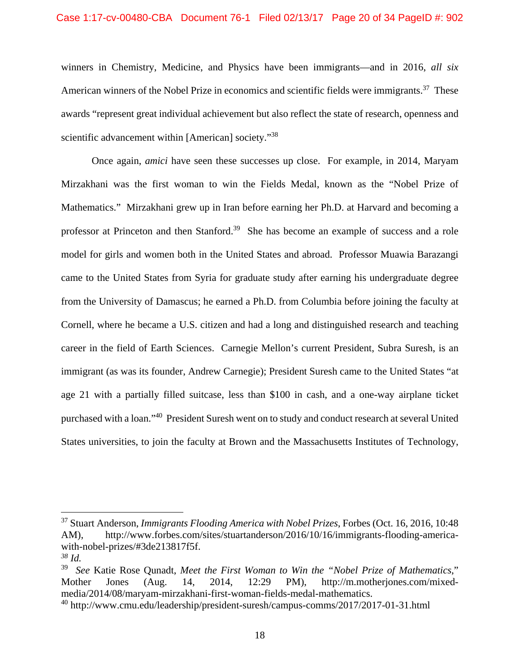winners in Chemistry, Medicine, and Physics have been immigrants—and in 2016, *all six*  American winners of the Nobel Prize in economics and scientific fields were immigrants.<sup>37</sup> These awards "represent great individual achievement but also reflect the state of research, openness and scientific advancement within [American] society."<sup>38</sup>

Once again, *amici* have seen these successes up close. For example, in 2014, Maryam Mirzakhani was the first woman to win the Fields Medal, known as the "Nobel Prize of Mathematics." Mirzakhani grew up in Iran before earning her Ph.D. at Harvard and becoming a professor at Princeton and then Stanford.<sup>39</sup> She has become an example of success and a role model for girls and women both in the United States and abroad. Professor Muawia Barazangi came to the United States from Syria for graduate study after earning his undergraduate degree from the University of Damascus; he earned a Ph.D. from Columbia before joining the faculty at Cornell, where he became a U.S. citizen and had a long and distinguished research and teaching career in the field of Earth Sciences. Carnegie Mellon's current President, Subra Suresh, is an immigrant (as was its founder, Andrew Carnegie); President Suresh came to the United States "at age 21 with a partially filled suitcase, less than \$100 in cash, and a one-way airplane ticket purchased with a loan."40 President Suresh went on to study and conduct research at several United States universities, to join the faculty at Brown and the Massachusetts Institutes of Technology,

<sup>37</sup> Stuart Anderson, *Immigrants Flooding America with Nobel Prizes*, Forbes (Oct. 16, 2016, 10:48 AM), http://www.forbes.com/sites/stuartanderson/2016/10/16/immigrants-flooding-americawith-nobel-prizes/#3de213817f5f.

*<sup>38</sup> Id.* 

<sup>39</sup> *See* Katie Rose Qunadt, *Meet the First Woman to Win the "Nobel Prize of Mathematics*," Mother Jones (Aug. 14, 2014, 12:29 PM), http://m.motherjones.com/mixedmedia/2014/08/maryam-mirzakhani-first-woman-fields-medal-mathematics.

<sup>40</sup> http://www.cmu.edu/leadership/president-suresh/campus-comms/2017/2017-01-31.html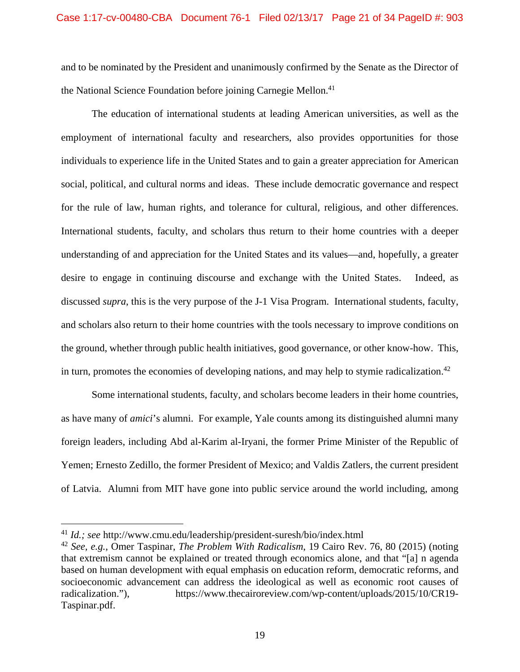and to be nominated by the President and unanimously confirmed by the Senate as the Director of the National Science Foundation before joining Carnegie Mellon.<sup>41</sup>

The education of international students at leading American universities, as well as the employment of international faculty and researchers, also provides opportunities for those individuals to experience life in the United States and to gain a greater appreciation for American social, political, and cultural norms and ideas. These include democratic governance and respect for the rule of law, human rights, and tolerance for cultural, religious, and other differences. International students, faculty, and scholars thus return to their home countries with a deeper understanding of and appreciation for the United States and its values—and, hopefully, a greater desire to engage in continuing discourse and exchange with the United States. Indeed, as discussed *supra*, this is the very purpose of the J-1 Visa Program. International students, faculty, and scholars also return to their home countries with the tools necessary to improve conditions on the ground, whether through public health initiatives, good governance, or other know-how. This, in turn, promotes the economies of developing nations, and may help to stymie radicalization.<sup>42</sup>

Some international students, faculty, and scholars become leaders in their home countries, as have many of *amici*'s alumni. For example, Yale counts among its distinguished alumni many foreign leaders, including Abd al-Karim al-Iryani, the former Prime Minister of the Republic of Yemen; Ernesto Zedillo, the former President of Mexico; and Valdis Zatlers, the current president of Latvia. Alumni from MIT have gone into public service around the world including, among

<sup>41</sup> *Id.; see* http://www.cmu.edu/leadership/president-suresh/bio/index.html

<sup>42</sup> *See, e.g.*, Omer Taspinar, *The Problem With Radicalism*, 19 Cairo Rev. 76, 80 (2015) (noting that extremism cannot be explained or treated through economics alone, and that "[a] n agenda based on human development with equal emphasis on education reform, democratic reforms, and socioeconomic advancement can address the ideological as well as economic root causes of radicalization."), https://www.thecairoreview.com/wp-content/uploads/2015/10/CR19-Taspinar.pdf.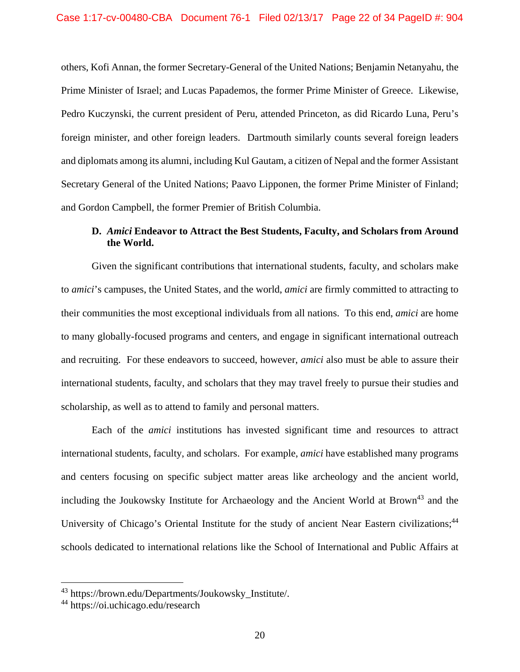others, Kofi Annan, the former Secretary-General of the United Nations; Benjamin Netanyahu, the Prime Minister of Israel; and Lucas Papademos, the former Prime Minister of Greece. Likewise, Pedro Kuczynski, the current president of Peru, attended Princeton, as did Ricardo Luna, Peru's foreign minister, and other foreign leaders. Dartmouth similarly counts several foreign leaders and diplomats among its alumni, including Kul Gautam, a citizen of Nepal and the former Assistant Secretary General of the United Nations; Paavo Lipponen, the former Prime Minister of Finland; and Gordon Campbell, the former Premier of British Columbia.

# **D.** *Amici* **Endeavor to Attract the Best Students, Faculty, and Scholars from Around the World.**

Given the significant contributions that international students, faculty, and scholars make to *amici*'s campuses, the United States, and the world, *amici* are firmly committed to attracting to their communities the most exceptional individuals from all nations. To this end, *amici* are home to many globally-focused programs and centers, and engage in significant international outreach and recruiting. For these endeavors to succeed, however, *amici* also must be able to assure their international students, faculty, and scholars that they may travel freely to pursue their studies and scholarship, as well as to attend to family and personal matters.

Each of the *amici* institutions has invested significant time and resources to attract international students, faculty, and scholars. For example, *amici* have established many programs and centers focusing on specific subject matter areas like archeology and the ancient world, including the Joukowsky Institute for Archaeology and the Ancient World at Brown<sup>43</sup> and the University of Chicago's Oriental Institute for the study of ancient Near Eastern civilizations;<sup>44</sup> schools dedicated to international relations like the School of International and Public Affairs at

<sup>43</sup> https://brown.edu/Departments/Joukowsky\_Institute/.

<sup>44</sup> https://oi.uchicago.edu/research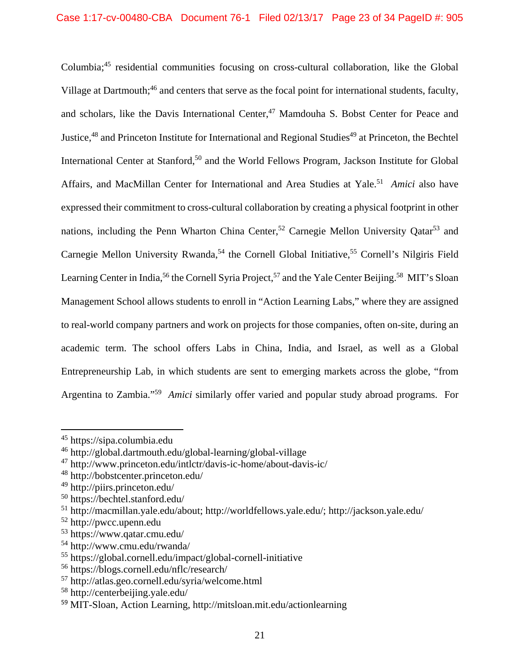Columbia;45 residential communities focusing on cross-cultural collaboration, like the Global Village at Dartmouth;<sup>46</sup> and centers that serve as the focal point for international students, faculty, and scholars, like the Davis International Center,<sup>47</sup> Mamdouha S. Bobst Center for Peace and Justice,<sup>48</sup> and Princeton Institute for International and Regional Studies<sup>49</sup> at Princeton, the Bechtel International Center at Stanford,<sup>50</sup> and the World Fellows Program, Jackson Institute for Global Affairs, and MacMillan Center for International and Area Studies at Yale.<sup>51</sup> Amici also have expressed their commitment to cross-cultural collaboration by creating a physical footprint in other nations, including the Penn Wharton China Center,<sup>52</sup> Carnegie Mellon University Oatar<sup>53</sup> and Carnegie Mellon University Rwanda,<sup>54</sup> the Cornell Global Initiative,<sup>55</sup> Cornell's Nilgiris Field Learning Center in India,<sup>56</sup> the Cornell Syria Project,<sup>57</sup> and the Yale Center Beijing.<sup>58</sup> MIT's Sloan Management School allows students to enroll in "Action Learning Labs," where they are assigned to real-world company partners and work on projects for those companies, often on-site, during an academic term. The school offers Labs in China, India, and Israel, as well as a Global Entrepreneurship Lab, in which students are sent to emerging markets across the globe, "from Argentina to Zambia."59 *Amici* similarly offer varied and popular study abroad programs. For

<sup>45</sup> https://sipa.columbia.edu

<sup>46</sup> http://global.dartmouth.edu/global-learning/global-village

<sup>47</sup> http://www.princeton.edu/intlctr/davis-ic-home/about-davis-ic/

<sup>48</sup> http://bobstcenter.princeton.edu/

<sup>49</sup> http://piirs.princeton.edu/

<sup>50</sup> https://bechtel.stanford.edu/

<sup>51</sup> http://macmillan.yale.edu/about; http://worldfellows.yale.edu/; http://jackson.yale.edu/

<sup>52</sup> http://pwcc.upenn.edu

<sup>53</sup> https://www.qatar.cmu.edu/

<sup>54</sup> http://www.cmu.edu/rwanda/

<sup>55</sup> https://global.cornell.edu/impact/global-cornell-initiative

<sup>56</sup> https://blogs.cornell.edu/nflc/research/

<sup>57</sup> http://atlas.geo.cornell.edu/syria/welcome.html

<sup>58</sup> http://centerbeijing.yale.edu/

<sup>59</sup> MIT-Sloan, Action Learning, http://mitsloan.mit.edu/actionlearning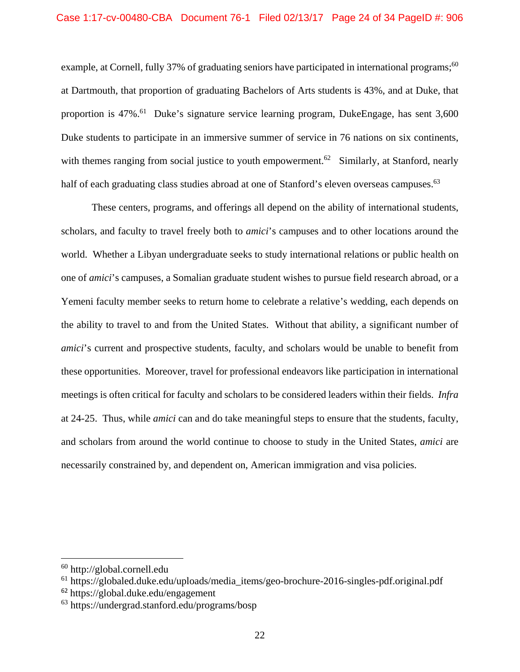example, at Cornell, fully 37% of graduating seniors have participated in international programs;<sup>60</sup> at Dartmouth, that proportion of graduating Bachelors of Arts students is 43%, and at Duke, that proportion is 47%.61 Duke's signature service learning program, DukeEngage, has sent 3,600 Duke students to participate in an immersive summer of service in 76 nations on six continents, with themes ranging from social justice to youth empowerment.<sup>62</sup> Similarly, at Stanford, nearly half of each graduating class studies abroad at one of Stanford's eleven overseas campuses.<sup>63</sup>

These centers, programs, and offerings all depend on the ability of international students, scholars, and faculty to travel freely both to *amici*'s campuses and to other locations around the world. Whether a Libyan undergraduate seeks to study international relations or public health on one of *amici*'s campuses, a Somalian graduate student wishes to pursue field research abroad, or a Yemeni faculty member seeks to return home to celebrate a relative's wedding, each depends on the ability to travel to and from the United States. Without that ability, a significant number of *amici*'s current and prospective students, faculty, and scholars would be unable to benefit from these opportunities. Moreover, travel for professional endeavors like participation in international meetings is often critical for faculty and scholars to be considered leaders within their fields. *Infra* at 24-25. Thus, while *amici* can and do take meaningful steps to ensure that the students, faculty, and scholars from around the world continue to choose to study in the United States, *amici* are necessarily constrained by, and dependent on, American immigration and visa policies.

 $61$  https://globaled.duke.edu/uploads/media\_items/geo-brochure-2016-singles-pdf.original.pdf

<sup>60</sup> http://global.cornell.edu

<sup>62</sup> https://global.duke.edu/engagement

<sup>63</sup> https://undergrad.stanford.edu/programs/bosp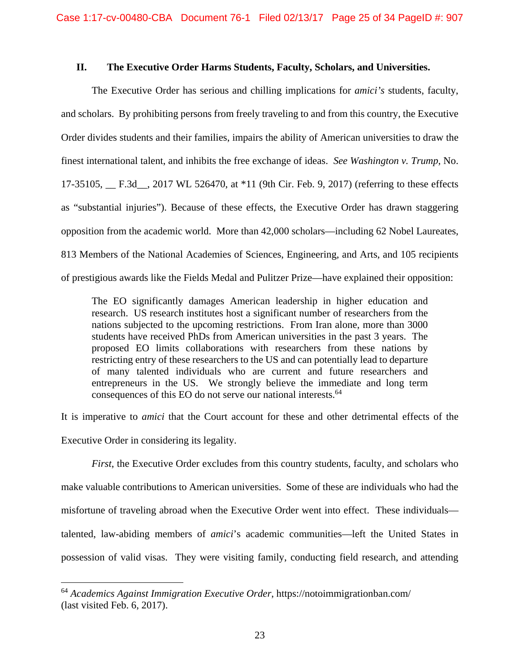### **II. The Executive Order Harms Students, Faculty, Scholars, and Universities.**

The Executive Order has serious and chilling implications for *amici's* students, faculty, and scholars. By prohibiting persons from freely traveling to and from this country, the Executive Order divides students and their families, impairs the ability of American universities to draw the finest international talent, and inhibits the free exchange of ideas. *See Washington v. Trump*, No. 17-35105, \_\_ F.3d\_\_, 2017 WL 526470, at \*11 (9th Cir. Feb. 9, 2017) (referring to these effects as "substantial injuries"). Because of these effects, the Executive Order has drawn staggering opposition from the academic world. More than 42,000 scholars—including 62 Nobel Laureates, 813 Members of the National Academies of Sciences, Engineering, and Arts, and 105 recipients of prestigious awards like the Fields Medal and Pulitzer Prize—have explained their opposition:

The EO significantly damages American leadership in higher education and research. US research institutes host a significant number of researchers from the nations subjected to the upcoming restrictions. From Iran alone, more than 3000 students have received PhDs from American universities in the past 3 years. The proposed EO limits collaborations with researchers from these nations by restricting entry of these researchers to the US and can potentially lead to departure of many talented individuals who are current and future researchers and entrepreneurs in the US. We strongly believe the immediate and long term consequences of this EO do not serve our national interests.<sup>64</sup>

It is imperative to *amici* that the Court account for these and other detrimental effects of the Executive Order in considering its legality.

*First*, the Executive Order excludes from this country students, faculty, and scholars who make valuable contributions to American universities. Some of these are individuals who had the misfortune of traveling abroad when the Executive Order went into effect. These individuals talented, law-abiding members of *amici*'s academic communities—left the United States in possession of valid visas. They were visiting family, conducting field research, and attending

<sup>64</sup> *Academics Against Immigration Executive Order*, https://notoimmigrationban.com/ (last visited Feb. 6, 2017).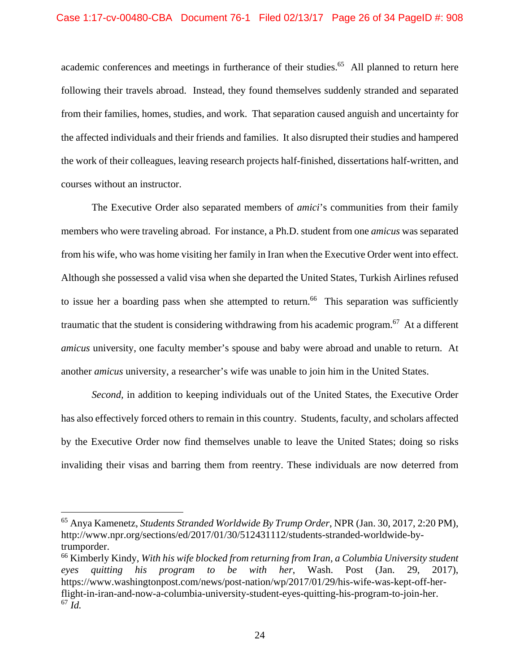academic conferences and meetings in furtherance of their studies.<sup>65</sup> All planned to return here following their travels abroad. Instead, they found themselves suddenly stranded and separated from their families, homes, studies, and work. That separation caused anguish and uncertainty for the affected individuals and their friends and families. It also disrupted their studies and hampered the work of their colleagues, leaving research projects half-finished, dissertations half-written, and courses without an instructor.

The Executive Order also separated members of *amici*'s communities from their family members who were traveling abroad. For instance, a Ph.D. student from one *amicus* was separated from his wife, who was home visiting her family in Iran when the Executive Order went into effect. Although she possessed a valid visa when she departed the United States, Turkish Airlines refused to issue her a boarding pass when she attempted to return.<sup>66</sup> This separation was sufficiently traumatic that the student is considering withdrawing from his academic program.<sup>67</sup> At a different *amicus* university, one faculty member's spouse and baby were abroad and unable to return. At another *amicus* university, a researcher's wife was unable to join him in the United States.

*Second,* in addition to keeping individuals out of the United States, the Executive Order has also effectively forced others to remain in this country. Students, faculty, and scholars affected by the Executive Order now find themselves unable to leave the United States; doing so risks invaliding their visas and barring them from reentry. These individuals are now deterred from

<sup>65</sup> Anya Kamenetz, *Students Stranded Worldwide By Trump Order*, NPR (Jan. 30, 2017, 2:20 PM), http://www.npr.org/sections/ed/2017/01/30/512431112/students-stranded-worldwide-bytrumporder.

<sup>66</sup> Kimberly Kindy, *With his wife blocked from returning from Iran, a Columbia University student eyes quitting his program to be with her*, Wash. Post (Jan. 29, 2017), https://www.washingtonpost.com/news/post-nation/wp/2017/01/29/his-wife-was-kept-off-herflight-in-iran-and-now-a-columbia-university-student-eyes-quitting-his-program-to-join-her.  $67 \overline{Id}$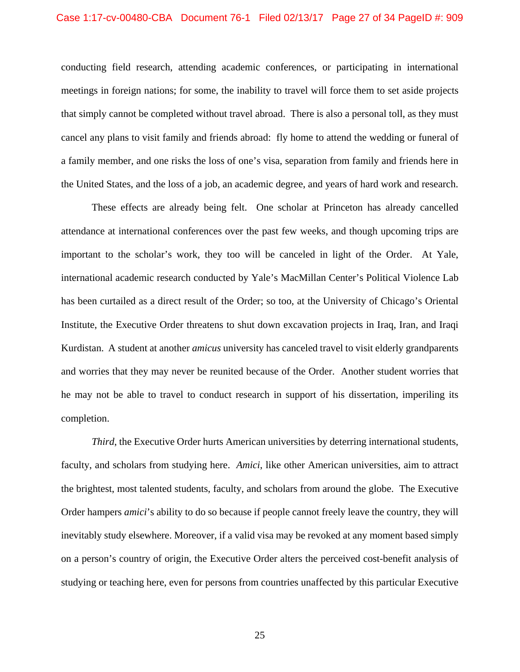#### Case 1:17-cv-00480-CBA Document 76-1 Filed 02/13/17 Page 27 of 34 PageID #: 909

conducting field research, attending academic conferences, or participating in international meetings in foreign nations; for some, the inability to travel will force them to set aside projects that simply cannot be completed without travel abroad. There is also a personal toll, as they must cancel any plans to visit family and friends abroad: fly home to attend the wedding or funeral of a family member, and one risks the loss of one's visa, separation from family and friends here in the United States, and the loss of a job, an academic degree, and years of hard work and research.

These effects are already being felt. One scholar at Princeton has already cancelled attendance at international conferences over the past few weeks, and though upcoming trips are important to the scholar's work, they too will be canceled in light of the Order. At Yale, international academic research conducted by Yale's MacMillan Center's Political Violence Lab has been curtailed as a direct result of the Order; so too, at the University of Chicago's Oriental Institute, the Executive Order threatens to shut down excavation projects in Iraq, Iran, and Iraqi Kurdistan. A student at another *amicus* university has canceled travel to visit elderly grandparents and worries that they may never be reunited because of the Order. Another student worries that he may not be able to travel to conduct research in support of his dissertation, imperiling its completion.

*Third*, the Executive Order hurts American universities by deterring international students, faculty, and scholars from studying here. *Amici*, like other American universities, aim to attract the brightest, most talented students, faculty, and scholars from around the globe. The Executive Order hampers *amici*'s ability to do so because if people cannot freely leave the country, they will inevitably study elsewhere. Moreover, if a valid visa may be revoked at any moment based simply on a person's country of origin, the Executive Order alters the perceived cost-benefit analysis of studying or teaching here, even for persons from countries unaffected by this particular Executive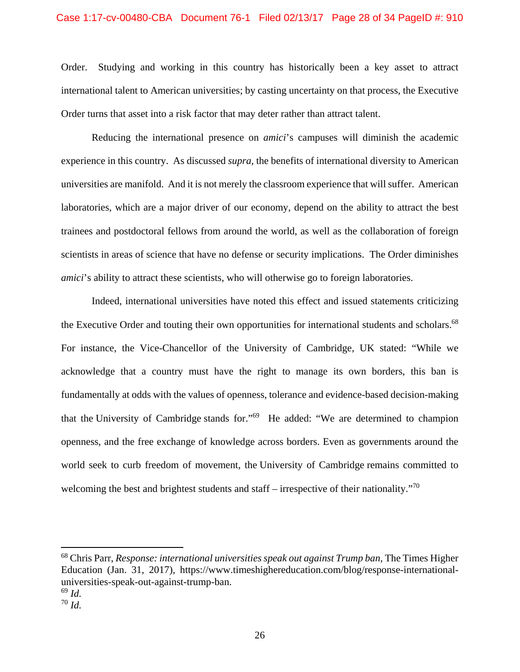### Case 1:17-cv-00480-CBA Document 76-1 Filed 02/13/17 Page 28 of 34 PageID #: 910

Order. Studying and working in this country has historically been a key asset to attract international talent to American universities; by casting uncertainty on that process, the Executive Order turns that asset into a risk factor that may deter rather than attract talent.

 Reducing the international presence on *amici*'s campuses will diminish the academic experience in this country. As discussed *supra*, the benefits of international diversity to American universities are manifold. And it is not merely the classroom experience that will suffer. American laboratories, which are a major driver of our economy, depend on the ability to attract the best trainees and postdoctoral fellows from around the world, as well as the collaboration of foreign scientists in areas of science that have no defense or security implications. The Order diminishes *amici*'s ability to attract these scientists, who will otherwise go to foreign laboratories.

Indeed, international universities have noted this effect and issued statements criticizing the Executive Order and touting their own opportunities for international students and scholars.<sup>68</sup> For instance, the Vice-Chancellor of the University of Cambridge, UK stated: "While we acknowledge that a country must have the right to manage its own borders, this ban is fundamentally at odds with the values of openness, tolerance and evidence-based decision-making that the University of Cambridge stands for."69 He added: "We are determined to champion openness, and the free exchange of knowledge across borders. Even as governments around the world seek to curb freedom of movement, the University of Cambridge remains committed to welcoming the best and brightest students and staff – irrespective of their nationality."<sup>70</sup>

<sup>68</sup> Chris Parr, *Response: international universities speak out against Trump ban*, The Times Higher Education (Jan. 31, 2017), https://www.timeshighereducation.com/blog/response-internationaluniversities-speak-out-against-trump-ban.

<sup>69</sup> *Id.*

<sup>70</sup> *Id.*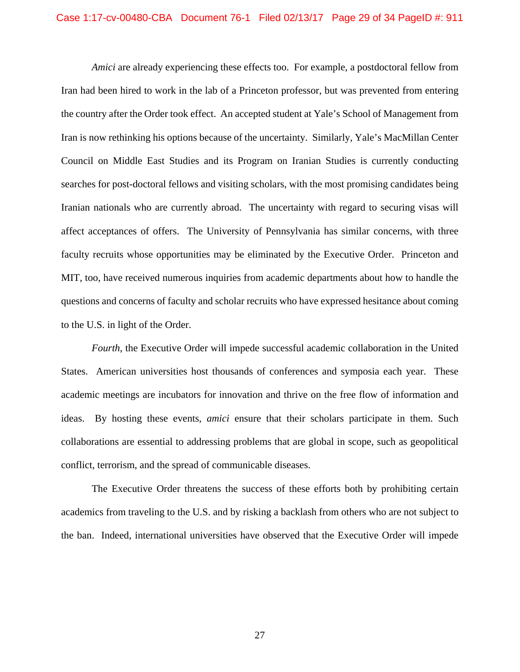*Amici* are already experiencing these effects too. For example, a postdoctoral fellow from Iran had been hired to work in the lab of a Princeton professor, but was prevented from entering the country after the Order took effect. An accepted student at Yale's School of Management from Iran is now rethinking his options because of the uncertainty. Similarly, Yale's MacMillan Center Council on Middle East Studies and its Program on Iranian Studies is currently conducting searches for post-doctoral fellows and visiting scholars, with the most promising candidates being Iranian nationals who are currently abroad. The uncertainty with regard to securing visas will affect acceptances of offers. The University of Pennsylvania has similar concerns, with three faculty recruits whose opportunities may be eliminated by the Executive Order. Princeton and MIT, too, have received numerous inquiries from academic departments about how to handle the questions and concerns of faculty and scholar recruits who have expressed hesitance about coming to the U.S. in light of the Order.

*Fourth*, the Executive Order will impede successful academic collaboration in the United States. American universities host thousands of conferences and symposia each year. These academic meetings are incubators for innovation and thrive on the free flow of information and ideas. By hosting these events, *amici* ensure that their scholars participate in them. Such collaborations are essential to addressing problems that are global in scope, such as geopolitical conflict, terrorism, and the spread of communicable diseases.

The Executive Order threatens the success of these efforts both by prohibiting certain academics from traveling to the U.S. and by risking a backlash from others who are not subject to the ban. Indeed, international universities have observed that the Executive Order will impede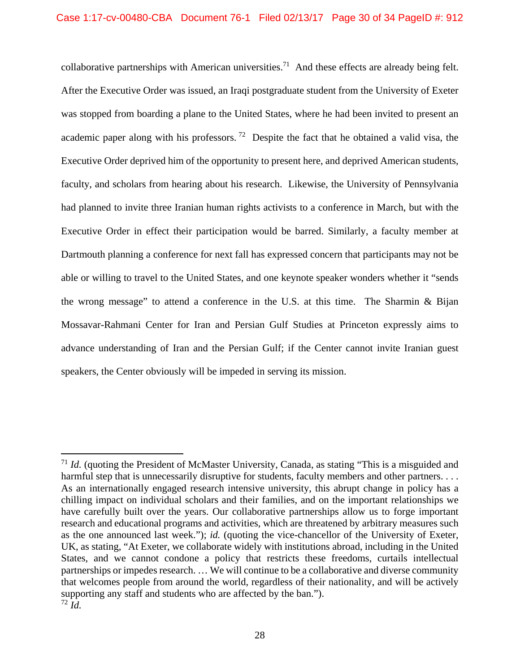collaborative partnerships with American universities.<sup>71</sup> And these effects are already being felt. After the Executive Order was issued, an Iraqi postgraduate student from the University of Exeter was stopped from boarding a plane to the United States, where he had been invited to present an academic paper along with his professors.<sup>72</sup> Despite the fact that he obtained a valid visa, the Executive Order deprived him of the opportunity to present here, and deprived American students, faculty, and scholars from hearing about his research. Likewise, the University of Pennsylvania had planned to invite three Iranian human rights activists to a conference in March, but with the Executive Order in effect their participation would be barred. Similarly, a faculty member at Dartmouth planning a conference for next fall has expressed concern that participants may not be able or willing to travel to the United States, and one keynote speaker wonders whether it "sends the wrong message" to attend a conference in the U.S. at this time. The Sharmin & Bijan Mossavar-Rahmani Center for Iran and Persian Gulf Studies at Princeton expressly aims to advance understanding of Iran and the Persian Gulf; if the Center cannot invite Iranian guest speakers, the Center obviously will be impeded in serving its mission.

<sup>71</sup> *Id.* (quoting the President of McMaster University, Canada, as stating "This is a misguided and harmful step that is unnecessarily disruptive for students, faculty members and other partners. . . . As an internationally engaged research intensive university, this abrupt change in policy has a chilling impact on individual scholars and their families, and on the important relationships we have carefully built over the years. Our collaborative partnerships allow us to forge important research and educational programs and activities, which are threatened by arbitrary measures such as the one announced last week."); *id.* (quoting the vice-chancellor of the University of Exeter, UK, as stating, "At Exeter, we collaborate widely with institutions abroad, including in the United States, and we cannot condone a policy that restricts these freedoms, curtails intellectual partnerships or impedes research. … We will continue to be a collaborative and diverse community that welcomes people from around the world, regardless of their nationality, and will be actively supporting any staff and students who are affected by the ban.").  $72$   $\mathrm{I}$ d.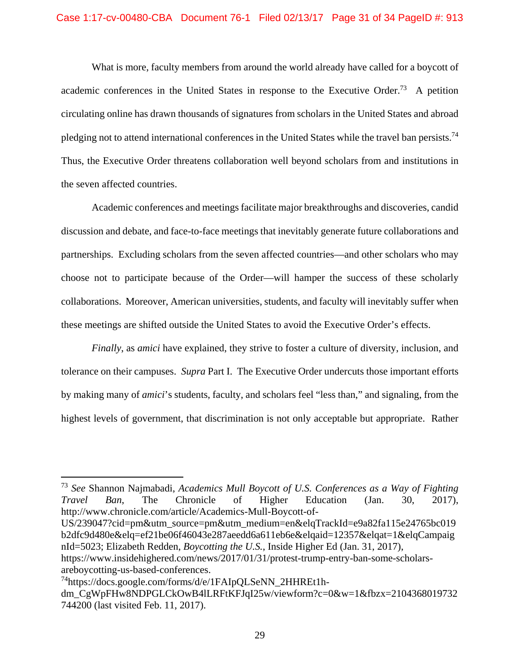What is more, faculty members from around the world already have called for a boycott of academic conferences in the United States in response to the Executive Order.<sup>73</sup> A petition circulating online has drawn thousands of signatures from scholars in the United States and abroad pledging not to attend international conferences in the United States while the travel ban persists.74 Thus, the Executive Order threatens collaboration well beyond scholars from and institutions in the seven affected countries.

Academic conferences and meetings facilitate major breakthroughs and discoveries, candid discussion and debate, and face-to-face meetings that inevitably generate future collaborations and partnerships. Excluding scholars from the seven affected countries—and other scholars who may choose not to participate because of the Order—will hamper the success of these scholarly collaborations. Moreover, American universities, students, and faculty will inevitably suffer when these meetings are shifted outside the United States to avoid the Executive Order's effects.

*Finally*, as *amici* have explained, they strive to foster a culture of diversity, inclusion, and tolerance on their campuses. *Supra* Part I. The Executive Order undercuts those important efforts by making many of *amici*'s students, faculty, and scholars feel "less than," and signaling, from the highest levels of government, that discrimination is not only acceptable but appropriate. Rather

US/239047?cid=pm&utm\_source=pm&utm\_medium=en&elqTrackId=e9a82fa115e24765bc019 b2dfc9d480e&elq=ef21be06f46043e287aeedd6a611eb6e&elqaid=12357&elqat=1&elqCampaig nId=5023; Elizabeth Redden, *Boycotting the U.S.*, Inside Higher Ed (Jan. 31, 2017), https://www.insidehighered.com/news/2017/01/31/protest-trump-entry-ban-some-scholars-

<sup>73</sup> *See* Shannon Najmabadi, *Academics Mull Boycott of U.S. Conferences as a Way of Fighting Travel Ban*, The Chronicle of Higher Education (Jan. 30, 2017), http://www.chronicle.com/article/Academics-Mull-Boycott-of-

areboycotting-us-based-conferences.

<sup>74</sup>https://docs.google.com/forms/d/e/1FAIpQLSeNN\_2HHREt1h-

dm\_CgWpFHw8NDPGLCkOwB4lLRFtKFJqI25w/viewform?c=0&w=1&fbzx=2104368019732 744200 (last visited Feb. 11, 2017).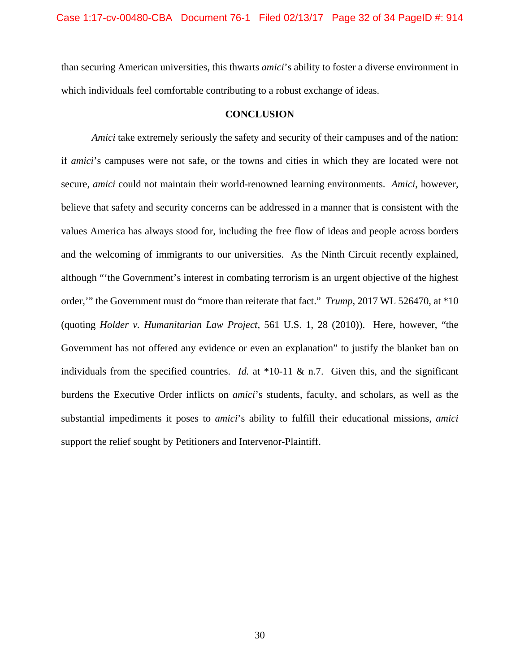than securing American universities, this thwarts *amici*'s ability to foster a diverse environment in which individuals feel comfortable contributing to a robust exchange of ideas.

#### **CONCLUSION**

*Amici* take extremely seriously the safety and security of their campuses and of the nation: if *amici*'s campuses were not safe, or the towns and cities in which they are located were not secure, *amici* could not maintain their world-renowned learning environments. *Amici*, however, believe that safety and security concerns can be addressed in a manner that is consistent with the values America has always stood for, including the free flow of ideas and people across borders and the welcoming of immigrants to our universities. As the Ninth Circuit recently explained, although "'the Government's interest in combating terrorism is an urgent objective of the highest order,'" the Government must do "more than reiterate that fact." *Trump*, 2017 WL 526470, at \*10 (quoting *Holder v. Humanitarian Law Project*, 561 U.S. 1, 28 (2010)). Here, however, "the Government has not offered any evidence or even an explanation" to justify the blanket ban on individuals from the specified countries. *Id.* at \*10-11 & n.7. Given this, and the significant burdens the Executive Order inflicts on *amici*'s students, faculty, and scholars, as well as the substantial impediments it poses to *amici*'s ability to fulfill their educational missions, *amici*  support the relief sought by Petitioners and Intervenor-Plaintiff.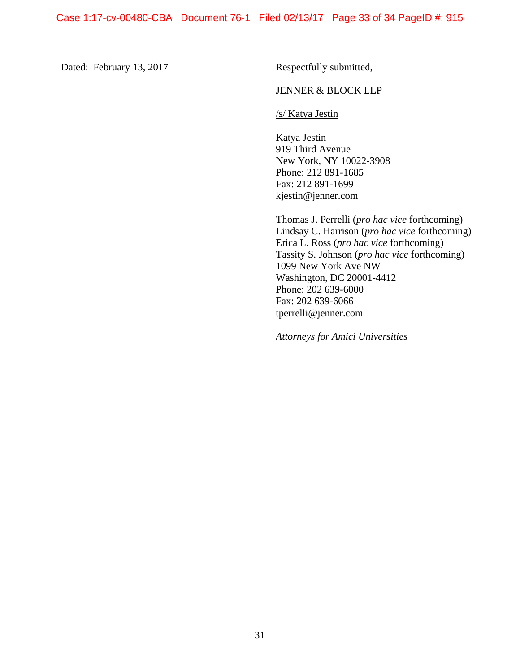Dated: February 13, 2017 Respectfully submitted,

### JENNER & BLOCK LLP

/s/ Katya Jestin

Katya Jestin 919 Third Avenue New York, NY 10022-3908 Phone: 212 891-1685 Fax: 212 891-1699 kjestin@jenner.com

Thomas J. Perrelli (*pro hac vice* forthcoming) Lindsay C. Harrison (*pro hac vice* forthcoming) Erica L. Ross (*pro hac vice* forthcoming) Tassity S. Johnson (*pro hac vice* forthcoming) 1099 New York Ave NW Washington, DC 20001-4412 Phone: 202 639-6000 Fax: 202 639-6066 tperrelli@jenner.com

*Attorneys for Amici Universities*